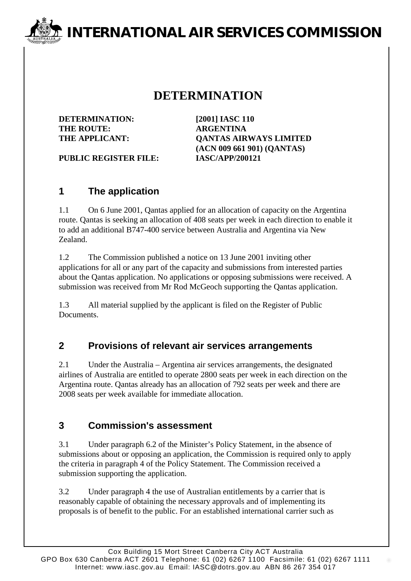# **INTERNATIONAL AIR SERVICES COMMISSION**

## **DETERMINATION**

**DETERMINATION: [2001] IASC 110 THE ROUTE: ARGENTINA**

**THE APPLICANT: QANTAS AIRWAYS LIMITED (ACN 009 661 901) (QANTAS)**

**PUBLIC REGISTER FILE: IASC/APP/200121** 

### **1 The application**

1.1 On 6 June 2001, Qantas applied for an allocation of capacity on the Argentina route. Qantas is seeking an allocation of 408 seats per week in each direction to enable it to add an additional B747-400 service between Australia and Argentina via New Zealand.

1.2 The Commission published a notice on 13 June 2001 inviting other applications for all or any part of the capacity and submissions from interested parties about the Qantas application. No applications or opposing submissions were received. A submission was received from Mr Rod McGeoch supporting the Qantas application.

1.3 All material supplied by the applicant is filed on the Register of Public **Documents** 

### **2 Provisions of relevant air services arrangements**

2.1 Under the Australia – Argentina air services arrangements, the designated airlines of Australia are entitled to operate 2800 seats per week in each direction on the Argentina route. Qantas already has an allocation of 792 seats per week and there are 2008 seats per week available for immediate allocation.

### **3 Commission's assessment**

3.1 Under paragraph 6.2 of the Minister's Policy Statement, in the absence of submissions about or opposing an application, the Commission is required only to apply the criteria in paragraph 4 of the Policy Statement. The Commission received a submission supporting the application.

3.2 Under paragraph 4 the use of Australian entitlements by a carrier that is reasonably capable of obtaining the necessary approvals and of implementing its proposals is of benefit to the public. For an established international carrier such as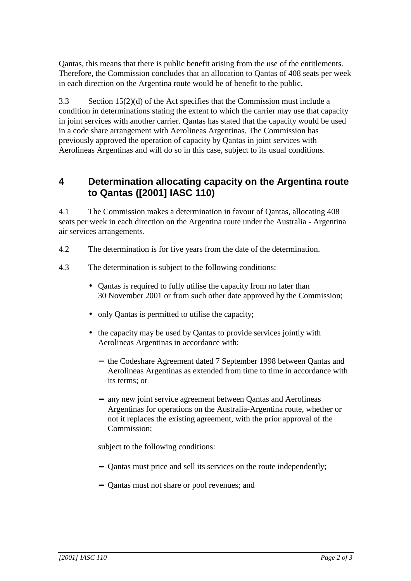Qantas, this means that there is public benefit arising from the use of the entitlements. Therefore, the Commission concludes that an allocation to Qantas of 408 seats per week in each direction on the Argentina route would be of benefit to the public.

3.3 Section 15(2)(d) of the Act specifies that the Commission must include a condition in determinations stating the extent to which the carrier may use that capacity in joint services with another carrier. Qantas has stated that the capacity would be used in a code share arrangement with Aerolineas Argentinas. The Commission has previously approved the operation of capacity by Qantas in joint services with Aerolineas Argentinas and will do so in this case, subject to its usual conditions.

#### **4 Determination allocating capacity on the Argentina route to Qantas ([2001] IASC 110)**

4.1 The Commission makes a determination in favour of Qantas, allocating 408 seats per week in each direction on the Argentina route under the Australia - Argentina air services arrangements.

- 4.2 The determination is for five years from the date of the determination.
- 4.3 The determination is subject to the following conditions:
	- Cantas is required to fully utilise the capacity from no later than 30 November 2001 or from such other date approved by the Commission;
	- only Qantas is permitted to utilise the capacity;
	- the capacity may be used by Qantas to provide services jointly with Aerolineas Argentinas in accordance with:
		- − the Codeshare Agreement dated 7 September 1998 between Qantas and Aerolineas Argentinas as extended from time to time in accordance with its terms; or
		- − any new joint service agreement between Qantas and Aerolineas Argentinas for operations on the Australia-Argentina route, whether or not it replaces the existing agreement, with the prior approval of the Commission;

subject to the following conditions:

- − Qantas must price and sell its services on the route independently;
- − Qantas must not share or pool revenues; and